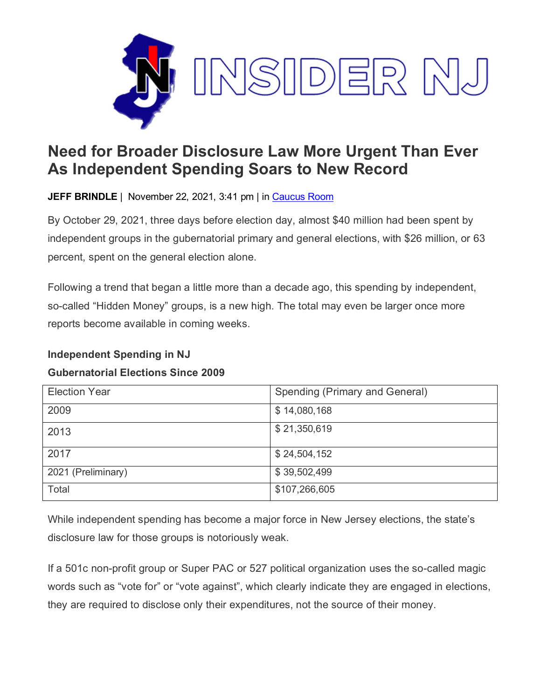

## **Need for Broader Disclosure Law More Urgent Than Ever As Independent Spending Soars to New Record**

**JEFF BRINDLE** | November 22, 2021, 3:41 pm | in [Caucus Room](https://www.insidernj.com/category/caucus-room/)

By October 29, 2021, three days before election day, almost \$40 million had been spent by independent groups in the gubernatorial primary and general elections, with \$26 million, or 63 percent, spent on the general election alone.

Following a trend that began a little more than a decade ago, this spending by independent, so-called "Hidden Money" groups, is a new high. The total may even be larger once more reports become available in coming weeks.

## **Independent Spending in NJ**

## **Gubernatorial Elections Since 2009**

| <b>Election Year</b> | Spending (Primary and General) |
|----------------------|--------------------------------|
| 2009                 | \$14,080,168                   |
| 2013                 | \$21,350,619                   |
| 2017                 | \$24,504,152                   |
| 2021 (Preliminary)   | \$39,502,499                   |
| Total                | \$107,266,605                  |

While independent spending has become a major force in New Jersey elections, the state's disclosure law for those groups is notoriously weak.

If a 501c non-profit group or Super PAC or 527 political organization uses the so-called magic words such as "vote for" or "vote against", which clearly indicate they are engaged in elections, they are required to disclose only their expenditures, not the source of their money.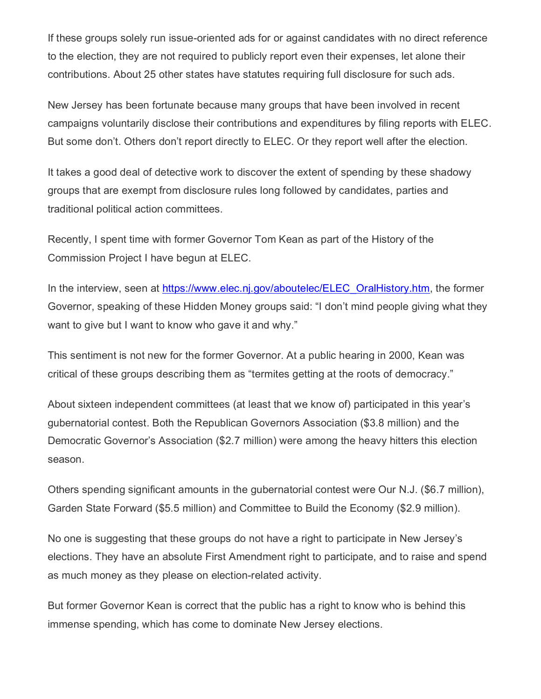If these groups solely run issue-oriented ads for or against candidates with no direct reference to the election, they are not required to publicly report even their expenses, let alone their contributions. About 25 other states have statutes requiring full disclosure for such ads.

New Jersey has been fortunate because many groups that have been involved in recent campaigns voluntarily disclose their contributions and expenditures by filing reports with ELEC. But some don't. Others don't report directly to ELEC. Or they report well after the election.

It takes a good deal of detective work to discover the extent of spending by these shadowy groups that are exempt from disclosure rules long followed by candidates, parties and traditional political action committees.

Recently, I spent time with former Governor Tom Kean as part of the History of the Commission Project I have begun at ELEC.

In the interview, seen at [https://www.elec.nj.gov/aboutelec/ELEC\\_OralHistory.htm,](https://www.elec.nj.gov/aboutelec/ELEC_OralHistory.htm) the former Governor, speaking of these Hidden Money groups said: "I don't mind people giving what they want to give but I want to know who gave it and why."

This sentiment is not new for the former Governor. At a public hearing in 2000, Kean was critical of these groups describing them as "termites getting at the roots of democracy."

About sixteen independent committees (at least that we know of) participated in this year's gubernatorial contest. Both the Republican Governors Association (\$3.8 million) and the Democratic Governor's Association (\$2.7 million) were among the heavy hitters this election season.

Others spending significant amounts in the gubernatorial contest were Our N.J. (\$6.7 million), Garden State Forward (\$5.5 million) and Committee to Build the Economy (\$2.9 million).

No one is suggesting that these groups do not have a right to participate in New Jersey's elections. They have an absolute First Amendment right to participate, and to raise and spend as much money as they please on election-related activity.

But former Governor Kean is correct that the public has a right to know who is behind this immense spending, which has come to dominate New Jersey elections.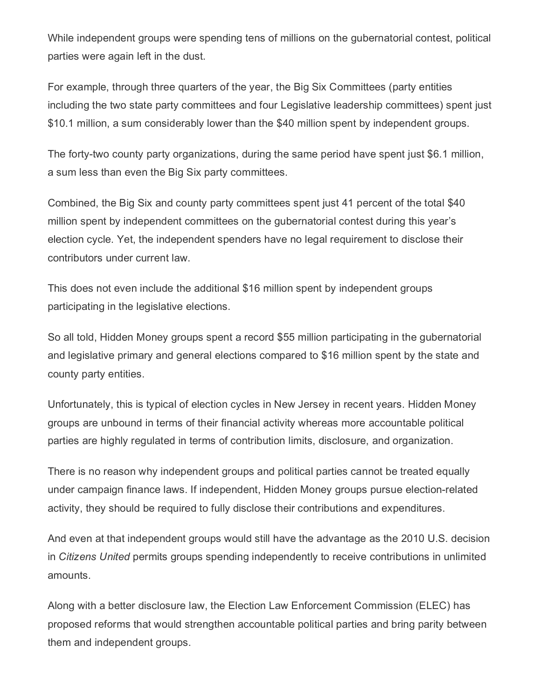While independent groups were spending tens of millions on the gubernatorial contest, political parties were again left in the dust.

For example, through three quarters of the year, the Big Six Committees (party entities including the two state party committees and four Legislative leadership committees) spent just \$10.1 million, a sum considerably lower than the \$40 million spent by independent groups.

The forty-two county party organizations, during the same period have spent just \$6.1 million, a sum less than even the Big Six party committees.

Combined, the Big Six and county party committees spent just 41 percent of the total \$40 million spent by independent committees on the gubernatorial contest during this year's election cycle. Yet, the independent spenders have no legal requirement to disclose their contributors under current law.

This does not even include the additional \$16 million spent by independent groups participating in the legislative elections.

So all told, Hidden Money groups spent a record \$55 million participating in the gubernatorial and legislative primary and general elections compared to \$16 million spent by the state and county party entities.

Unfortunately, this is typical of election cycles in New Jersey in recent years. Hidden Money groups are unbound in terms of their financial activity whereas more accountable political parties are highly regulated in terms of contribution limits, disclosure, and organization.

There is no reason why independent groups and political parties cannot be treated equally under campaign finance laws. If independent, Hidden Money groups pursue election-related activity, they should be required to fully disclose their contributions and expenditures.

And even at that independent groups would still have the advantage as the 2010 U.S. decision in *Citizens United* permits groups spending independently to receive contributions in unlimited amounts.

Along with a better disclosure law, the Election Law Enforcement Commission (ELEC) has proposed reforms that would strengthen accountable political parties and bring parity between them and independent groups.